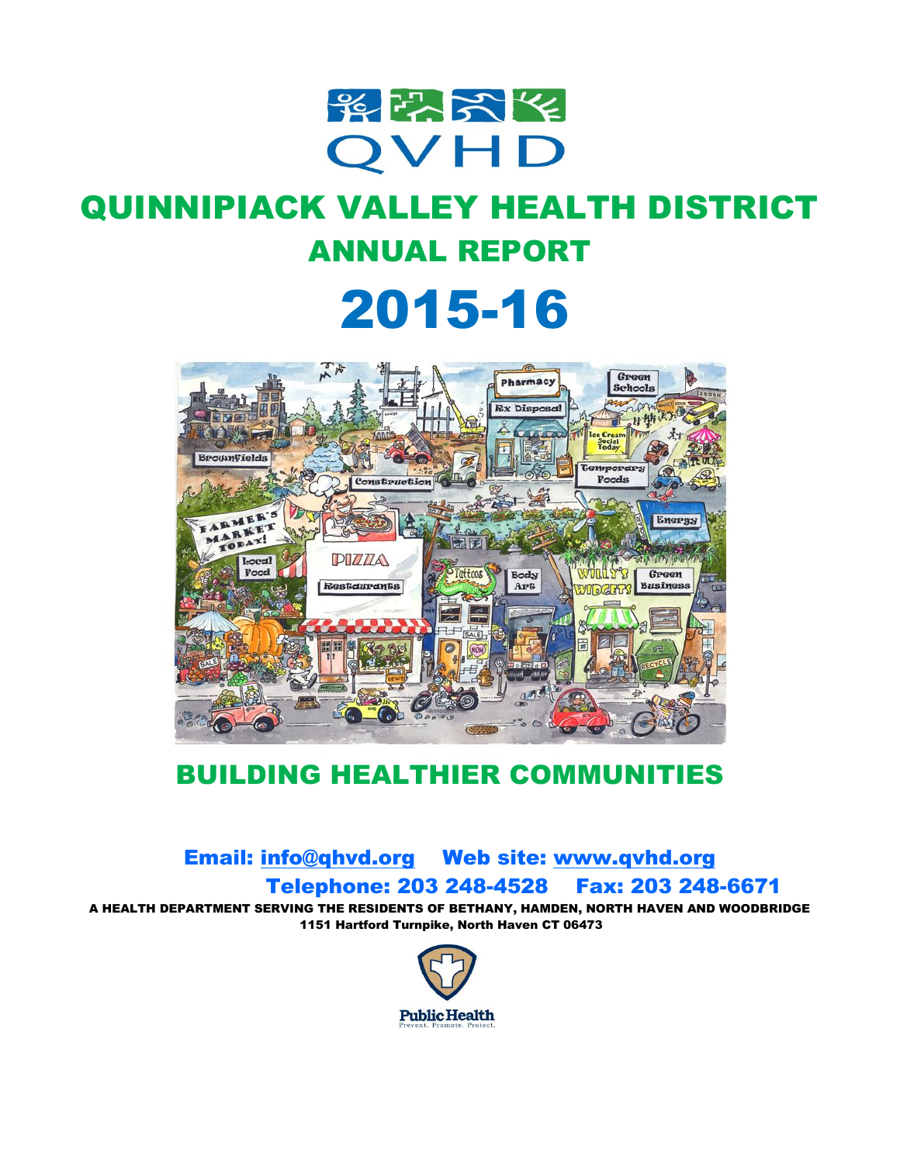

# QUINNIPIACK VALLEY HEALTH DISTRICT ANNUAL REPORT

# 2015-16



## BUILDING HEALTHIER COMMUNITIES

## Email: [info@qhvd.org](mailto:info@qhvd.org) Web site: [www.qvhd.org](http://www.qvhd.org/) Telephone: 203 248-4528 Fax: 203 248-6671

A HEALTH DEPARTMENT SERVING THE RESIDENTS OF BETHANY, HAMDEN, NORTH HAVEN AND WOODBRIDGE 1151 Hartford Turnpike, North Haven CT 06473

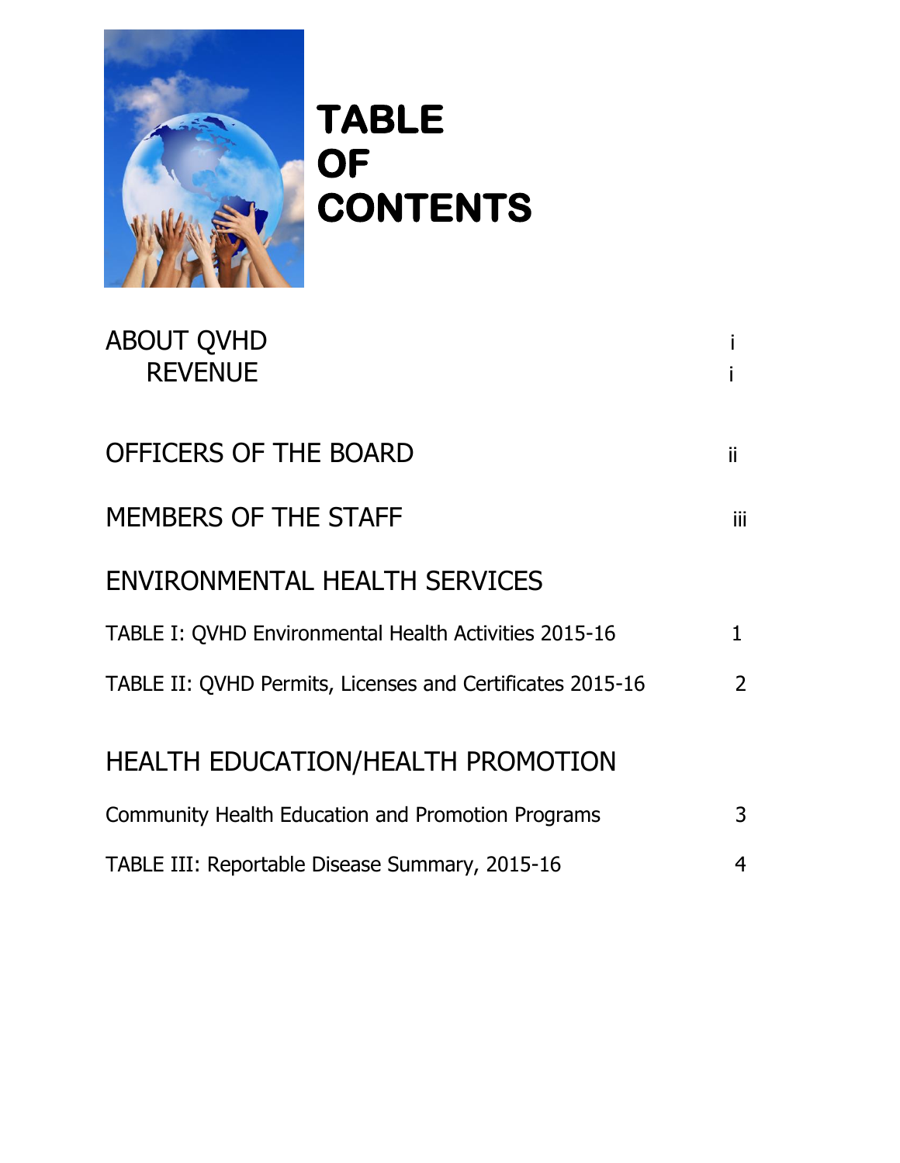

# **TABLE OF CONTENTS**

| <b>ABOUT QVHD</b><br><b>REVENUE</b>                       |               |
|-----------------------------------------------------------|---------------|
| OFFICERS OF THE BOARD                                     | ii.           |
| MEMBERS OF THE STAFF                                      | iii.          |
| ENVIRONMENTAL HEALTH SERVICES                             |               |
| TABLE I: QVHD Environmental Health Activities 2015-16     | 1             |
| TABLE II: QVHD Permits, Licenses and Certificates 2015-16 | $\mathcal{P}$ |
| <b>HEALTH EDUCATION/HEALTH PROMOTION</b>                  |               |
| <b>Community Health Education and Promotion Programs</b>  | 3             |
| TABLE III: Reportable Disease Summary, 2015-16            | 4             |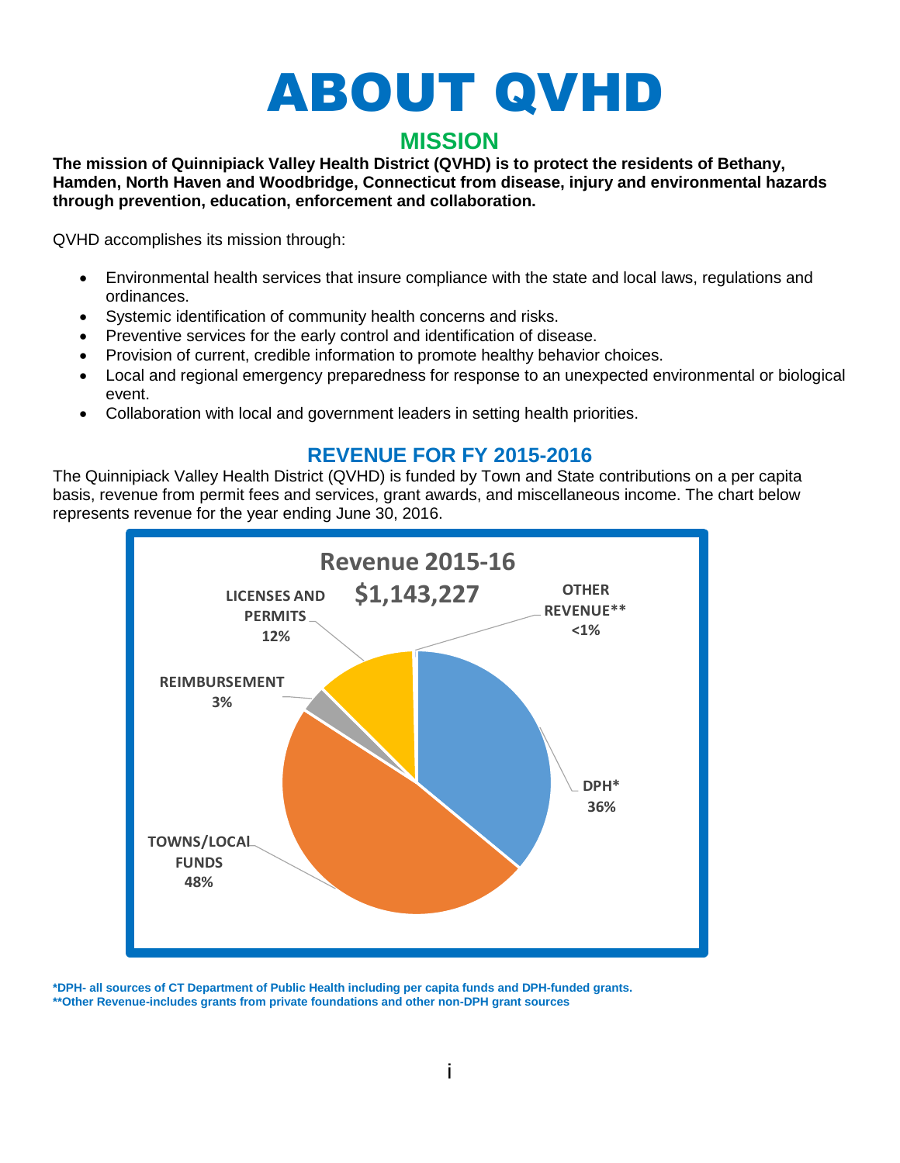# ABOUT QVHD

## **MISSION**

**The mission of Quinnipiack Valley Health District (QVHD) is to protect the residents of Bethany, Hamden, North Haven and Woodbridge, Connecticut from disease, injury and environmental hazards through prevention, education, enforcement and collaboration.**

QVHD accomplishes its mission through:

- Environmental health services that insure compliance with the state and local laws, regulations and ordinances.
- Systemic identification of community health concerns and risks.
- Preventive services for the early control and identification of disease.
- Provision of current, credible information to promote healthy behavior choices.
- Local and regional emergency preparedness for response to an unexpected environmental or biological event.
- Collaboration with local and government leaders in setting health priorities.

## **REVENUE FOR FY 2015-2016**

The Quinnipiack Valley Health District (QVHD) is funded by Town and State contributions on a per capita basis, revenue from permit fees and services, grant awards, and miscellaneous income. The chart below represents revenue for the year ending June 30, 2016.



**\*DPH- all sources of CT Department of Public Health including per capita funds and DPH-funded grants. \*\*Other Revenue-includes grants from private foundations and other non-DPH grant sources**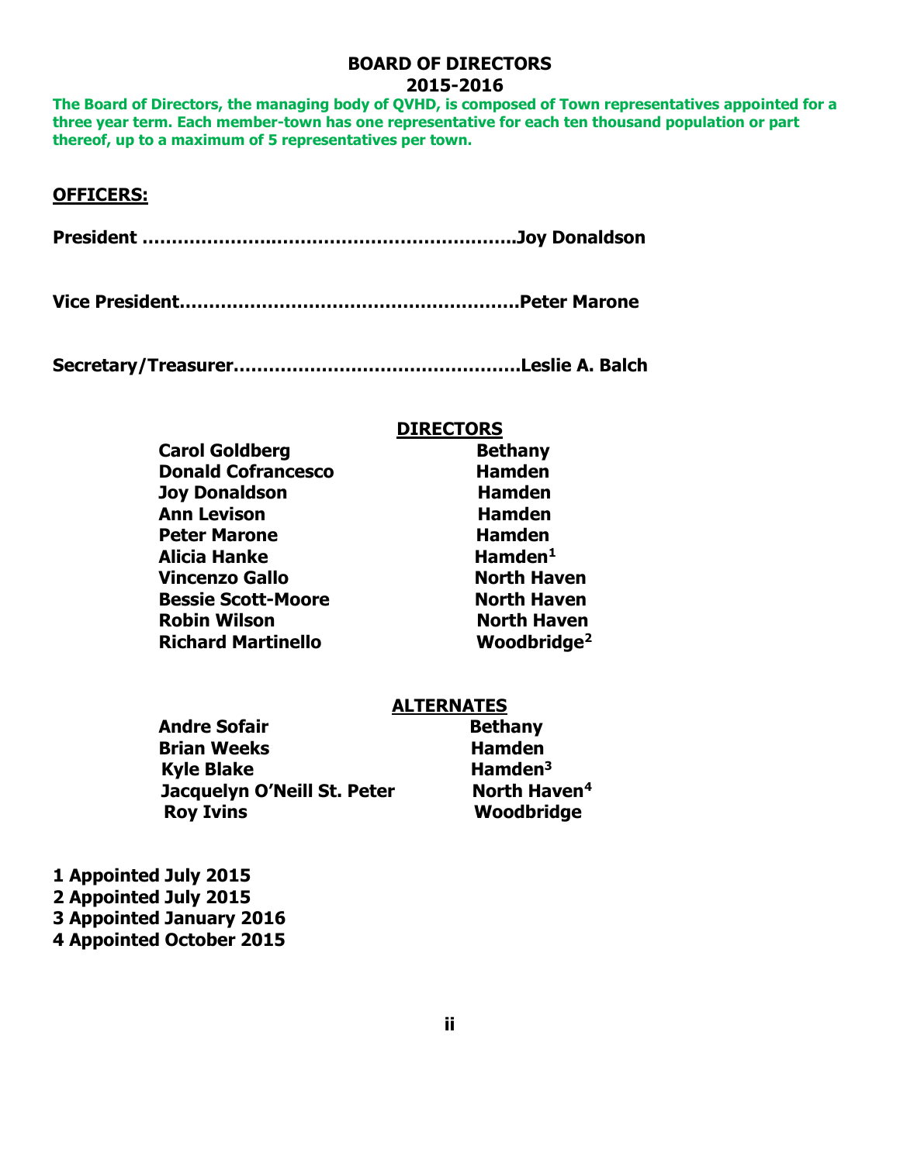## **BOARD OF DIRECTORS 2015-2016**

**The Board of Directors, the managing body of QVHD, is composed of Town representatives appointed for a three year term. Each member-town has one representative for each ten thousand population or part thereof, up to a maximum of 5 representatives per town.** 

## **OFFICERS:**

**President …………………..…………………………………..Joy Donaldson** 

**Vice President………………………………………………….Peter Marone** 

**Secretary/Treasurer………………………………………….Leslie A. Balch**

## **DIRECTORS**

| <b>Carol Goldberg</b>     | <b>Bethany</b>          |
|---------------------------|-------------------------|
| <b>Donald Cofrancesco</b> | <b>Hamden</b>           |
| <b>Joy Donaldson</b>      | <b>Hamden</b>           |
| <b>Ann Levison</b>        | <b>Hamden</b>           |
| <b>Peter Marone</b>       | <b>Hamden</b>           |
| <b>Alicia Hanke</b>       | $H$ amden <sup>1</sup>  |
| <b>Vincenzo Gallo</b>     | <b>North Haven</b>      |
| <b>Bessie Scott-Moore</b> | <b>North Haven</b>      |
| <b>Robin Wilson</b>       | <b>North Haven</b>      |
| <b>Richard Martinello</b> | Woodbridge <sup>2</sup> |

## **ALTERNATES**

| <b>Andre Sofair</b>         | <b>Bethany</b>           |
|-----------------------------|--------------------------|
| <b>Brian Weeks</b>          | <b>Hamden</b>            |
| <b>Kyle Blake</b>           | Hamden $3$               |
| Jacquelyn O'Neill St. Peter | North Haven <sup>4</sup> |
| <b>Roy Ivins</b>            | Woodbridge               |

**1 Appointed July 2015 2 Appointed July 2015 3 Appointed January 2016 4 Appointed October 2015**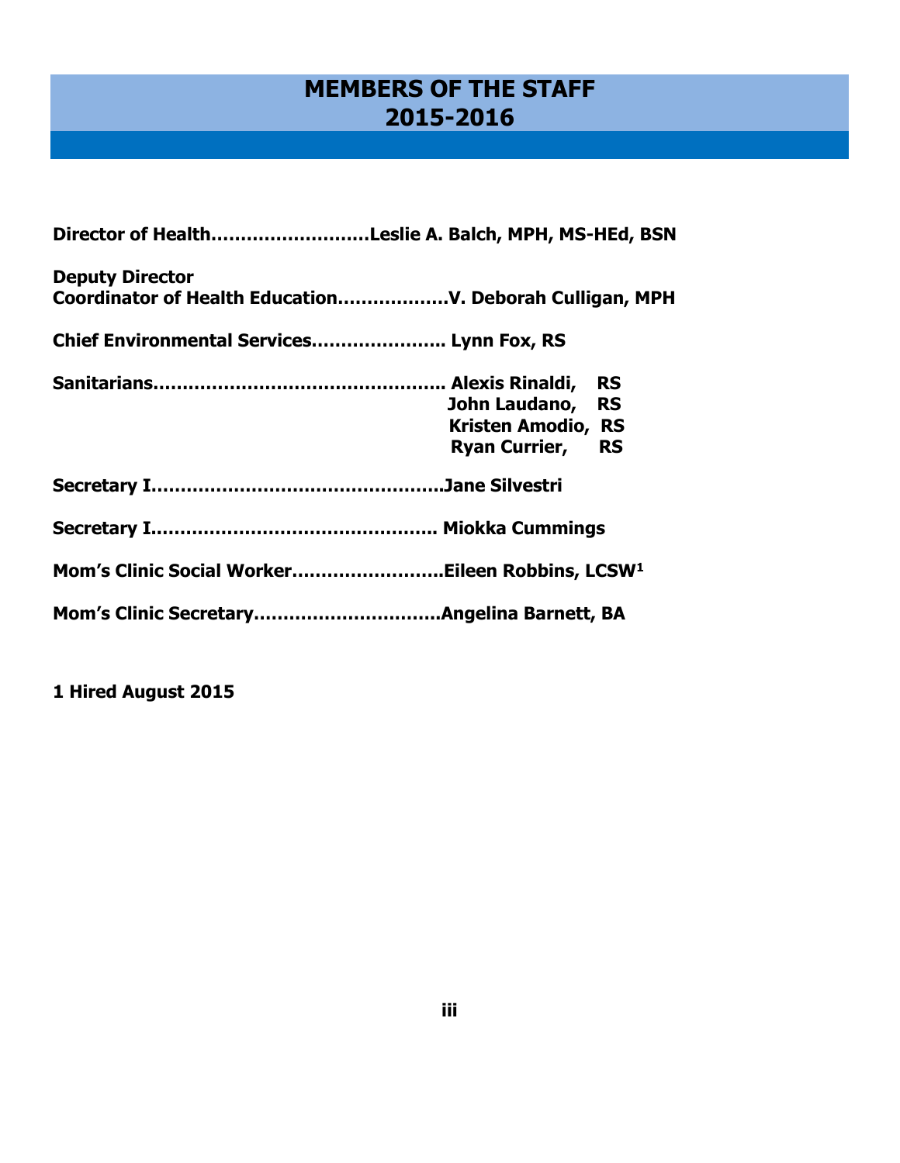## **MEMBERS OF THE STAFF 2015-2016**

| Director of HealthLeslie A. Balch, MPH, MS-HEd, BSN         |                           |  |  |  |
|-------------------------------------------------------------|---------------------------|--|--|--|
| <b>Deputy Director</b>                                      |                           |  |  |  |
| Chief Environmental Services Lynn Fox, RS                   |                           |  |  |  |
|                                                             |                           |  |  |  |
|                                                             | John Laudano, RS          |  |  |  |
|                                                             | <b>Kristen Amodio, RS</b> |  |  |  |
|                                                             | <b>Ryan Currier, RS</b>   |  |  |  |
|                                                             |                           |  |  |  |
|                                                             |                           |  |  |  |
| Mom's Clinic Social WorkerEileen Robbins, LCSW <sup>1</sup> |                           |  |  |  |
|                                                             |                           |  |  |  |

**1 Hired August 2015**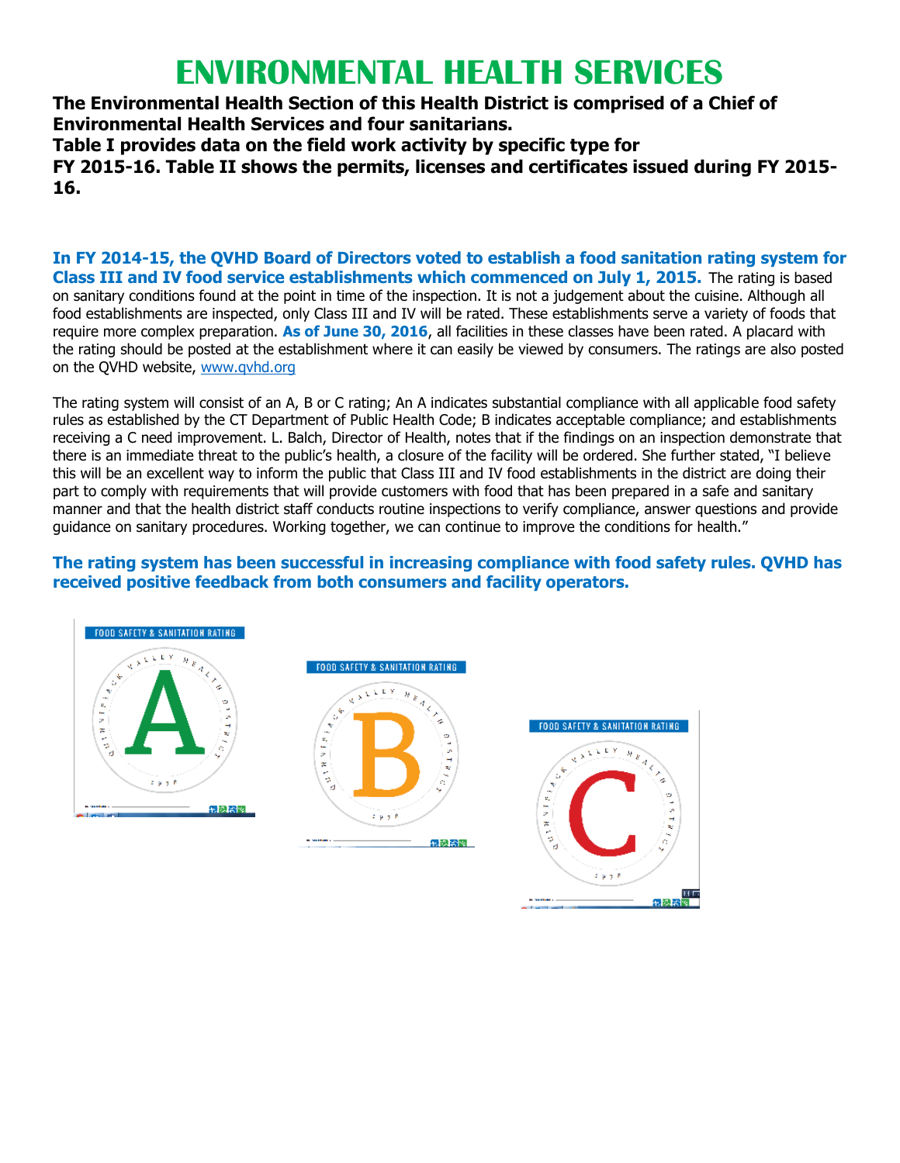# **ENVIRONMENTAL HEALTH SERVICES**

**The Environmental Health Section of this Health District is comprised of a Chief of Environmental Health Services and four sanitarians.** 

**Table I provides data on the field work activity by specific type for FY 2015-16. Table II shows the permits, licenses and certificates issued during FY 2015- 16.** 

**In FY 2014-15, the QVHD Board of Directors voted to establish a food sanitation rating system for Class III and IV food service establishments which commenced on July 1, 2015.** The rating is based on sanitary conditions found at the point in time of the inspection. It is not a judgement about the cuisine. Although all food establishments are inspected, only Class III and IV will be rated. These establishments serve a variety of foods that require more complex preparation. **As of June 30, 2016**, all facilities in these classes have been rated. A placard with the rating should be posted at the establishment where it can easily be viewed by consumers. The ratings are also posted on the QVHD website, [www.qvhd.org](http://www.qvhd.org/) 

The rating system will consist of an A, B or C rating; An A indicates substantial compliance with all applicable food safety rules as established by the CT Department of Public Health Code; B indicates acceptable compliance; and establishments receiving a C need improvement. L. Balch, Director of Health, notes that if the findings on an inspection demonstrate that there is an immediate threat to the public's health, a closure of the facility will be ordered. She further stated, "I believe this will be an excellent way to inform the public that Class III and IV food establishments in the district are doing their part to comply with requirements that will provide customers with food that has been prepared in a safe and sanitary manner and that the health district staff conducts routine inspections to verify compliance, answer questions and provide guidance on sanitary procedures. Working together, we can continue to improve the conditions for health."

## **The rating system has been successful in increasing compliance with food safety rules. QVHD has received positive feedback from both consumers and facility operators.**

無機関

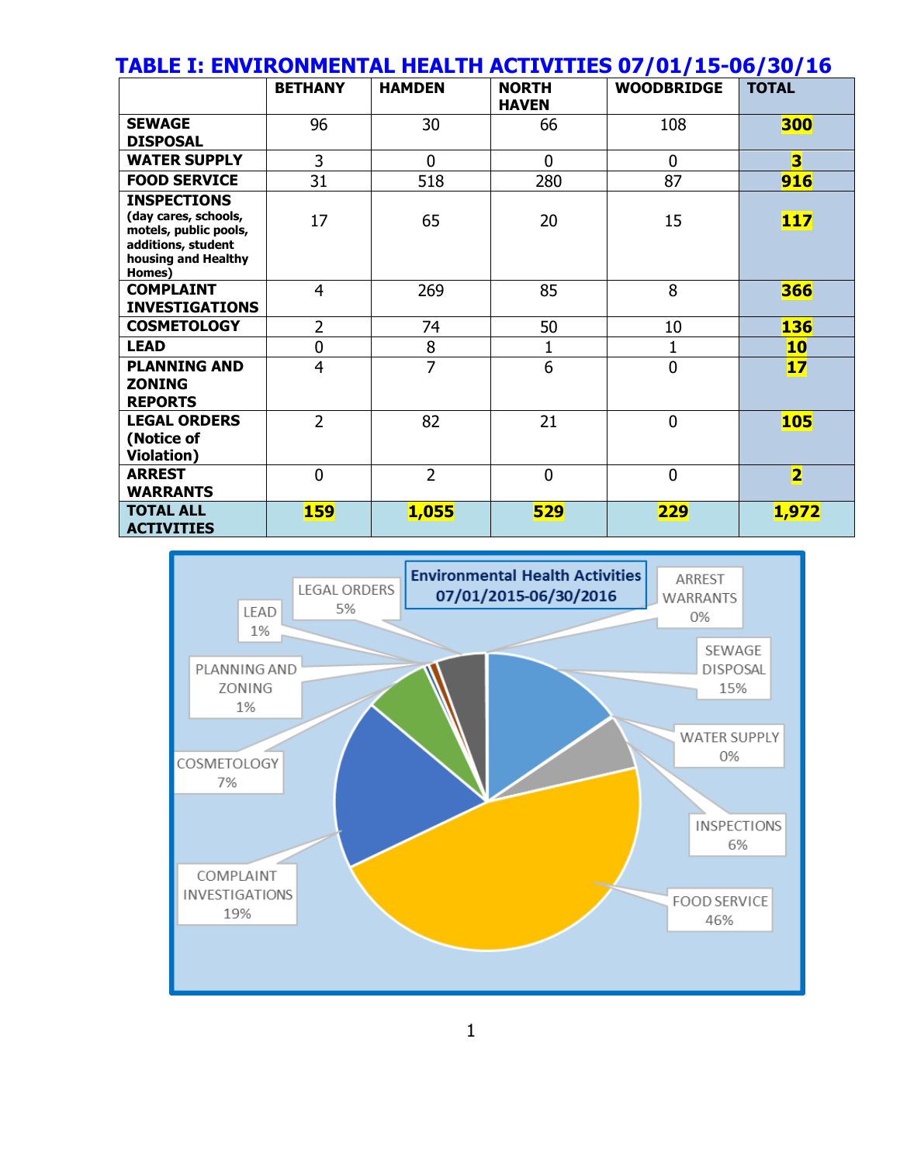## **TABLE I: ENVIRONMENTAL HEALTH ACTIVITIES 07/01/15-06/30/16**

|                                                                                                                            | <b>BETHANY</b> | <b>HAMDEN</b>  | <b>NORTH</b><br><b>HAVEN</b> | <b>WOODBRIDGE</b> | <b>TOTAL</b>            |
|----------------------------------------------------------------------------------------------------------------------------|----------------|----------------|------------------------------|-------------------|-------------------------|
| <b>SEWAGE</b><br><b>DISPOSAL</b>                                                                                           | 96             | 30             | 66                           | 108               | 300                     |
| <b>WATER SUPPLY</b>                                                                                                        | 3              | 0              | $\overline{0}$               | 0                 | $\overline{\mathbf{3}}$ |
| <b>FOOD SERVICE</b>                                                                                                        | 31             | 518            | 280                          | 87                | 916                     |
| <b>INSPECTIONS</b><br>(day cares, schools,<br>motels, public pools,<br>additions, student<br>housing and Healthy<br>Homes) | 17             | 65             | 20                           | 15                | <b>117</b>              |
| <b>COMPLAINT</b><br><b>INVESTIGATIONS</b>                                                                                  | $\overline{4}$ | 269            | 85                           | 8                 | 366                     |
| <b>COSMETOLOGY</b>                                                                                                         | $\overline{2}$ | 74             | 50                           | 10                | <b>136</b>              |
| <b>LEAD</b>                                                                                                                | 0              | 8              |                              | 1                 | 10                      |
| <b>PLANNING AND</b><br><b>ZONING</b><br><b>REPORTS</b>                                                                     | $\overline{4}$ | 7              | 6                            | $\mathbf 0$       | 17 <sub>2</sub>         |
| <b>LEGAL ORDERS</b><br>(Notice of<br><b>Violation</b> )                                                                    | $\overline{2}$ | 82             | 21                           | $\overline{0}$    | <b>105</b>              |
| <b>ARREST</b><br><b>WARRANTS</b>                                                                                           | 0              | $\overline{2}$ | $\overline{0}$               | $\mathbf 0$       | $\overline{\mathbf{2}}$ |
| <b>TOTAL ALL</b><br><b>ACTIVITIES</b>                                                                                      | <b>159</b>     | 1,055          | 529                          | <b>229</b>        | 1,972                   |

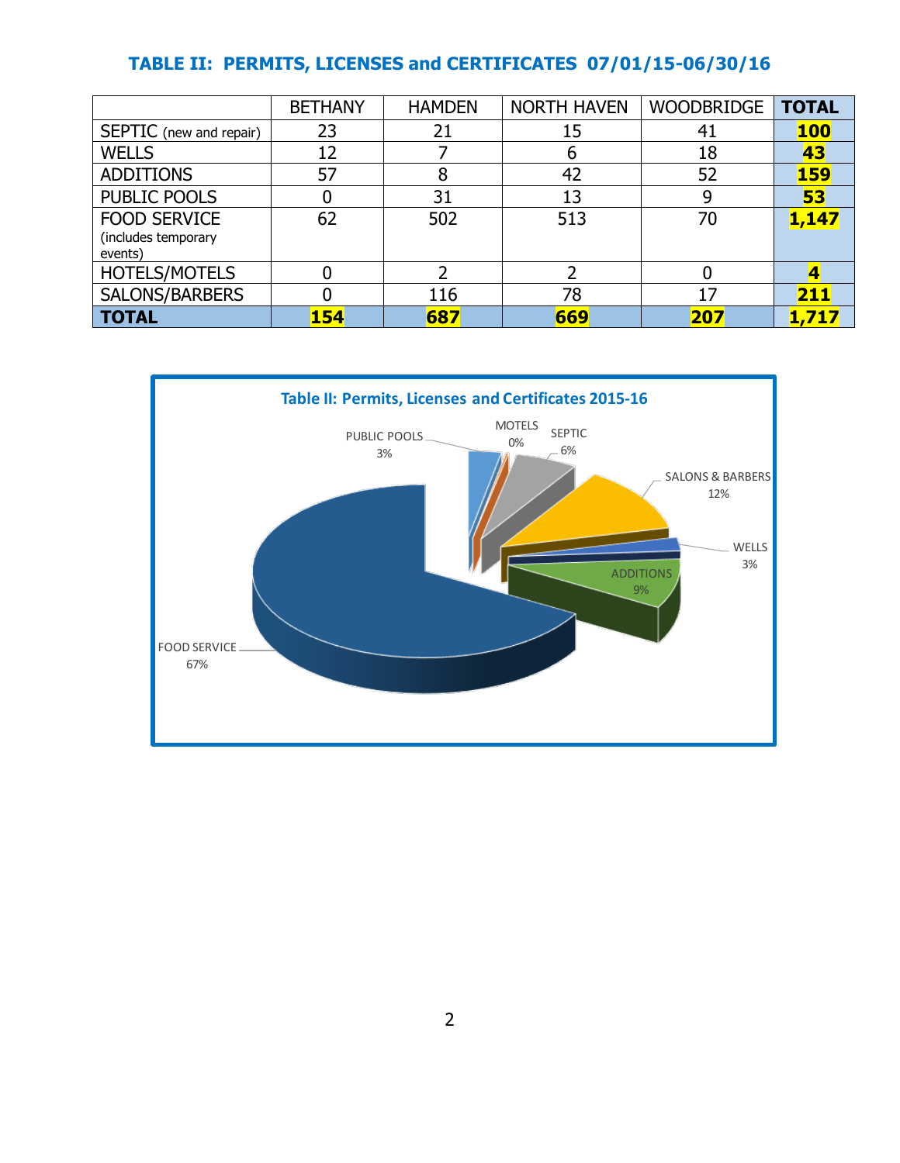## **TABLE II: PERMITS, LICENSES and CERTIFICATES 07/01/15-06/30/16**

|                                                       | <b>BETHANY</b> | <b>HAMDEN</b> | <b>NORTH HAVEN</b> | <b>WOODBRIDGE</b> | <b>TOTAL</b> |
|-------------------------------------------------------|----------------|---------------|--------------------|-------------------|--------------|
| SEPTIC (new and repair)                               | 23             | 21            | 15                 | 41                | <b>100</b>   |
| <b>WELLS</b>                                          | 12             |               | b                  | 18                | 43           |
| <b>ADDITIONS</b>                                      | 57             | 8             | 42                 | 52                | <b>159</b>   |
| <b>PUBLIC POOLS</b>                                   |                | 31            | 13                 | 9                 | 53           |
| <b>FOOD SERVICE</b><br>(includes temporary<br>events) | 62             | 502           | 513                | 70                | 1,147        |
| HOTELS/MOTELS                                         |                | ว             |                    |                   |              |
| SALONS/BARBERS                                        |                | 116           | 78                 | 17                | 211          |
| <b>TOTAL</b>                                          | <b>154</b>     | 687           | 669                | 207               | 1,717        |

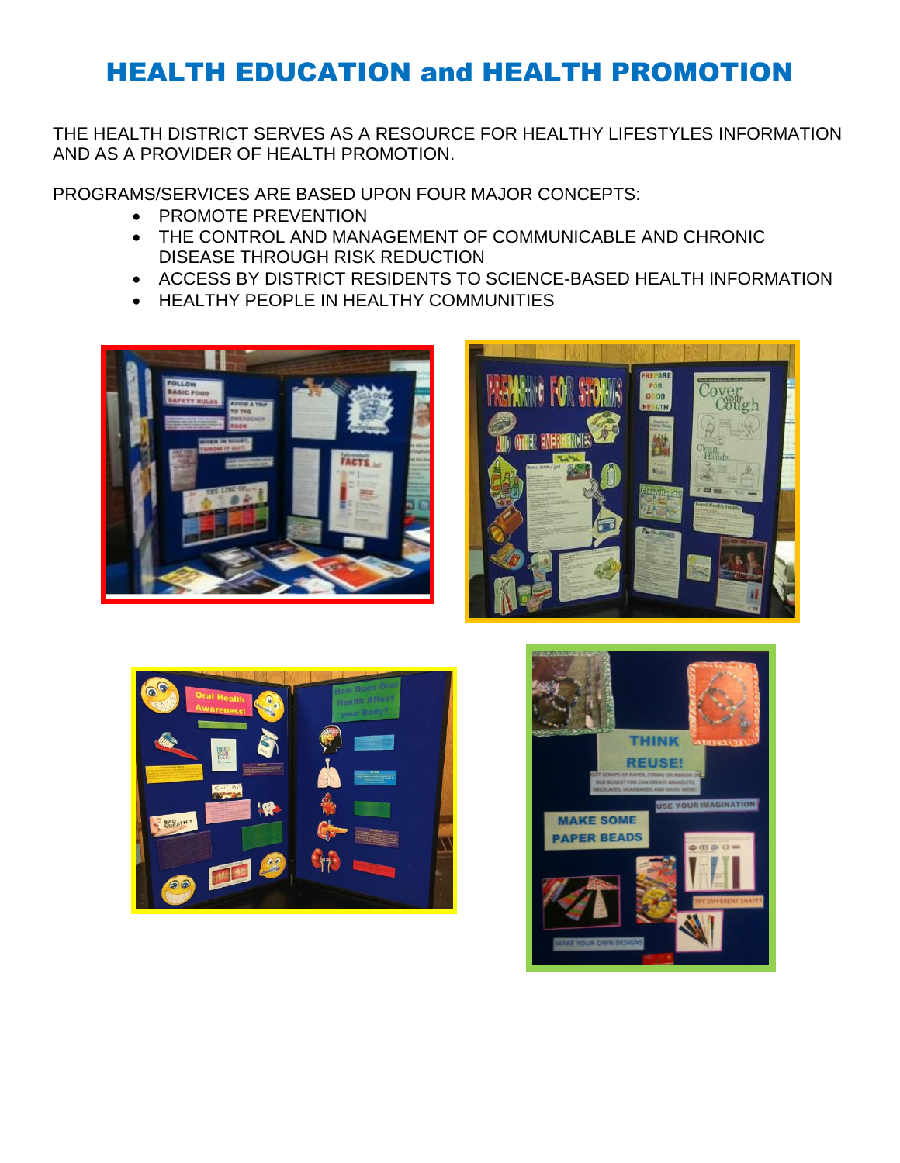## HEALTH EDUCATION and HEALTH PROMOTION

THE HEALTH DISTRICT SERVES AS A RESOURCE FOR HEALTHY LIFESTYLES INFORMATION AND AS A PROVIDER OF HEALTH PROMOTION.

PROGRAMS/SERVICES ARE BASED UPON FOUR MAJOR CONCEPTS:

- PROMOTE PREVENTION
- THE CONTROL AND MANAGEMENT OF COMMUNICABLE AND CHRONIC DISEASE THROUGH RISK REDUCTION
- ACCESS BY DISTRICT RESIDENTS TO SCIENCE-BASED HEALTH INFORMATION
- **HEALTHY PEOPLE IN HEALTHY COMMUNITIES**







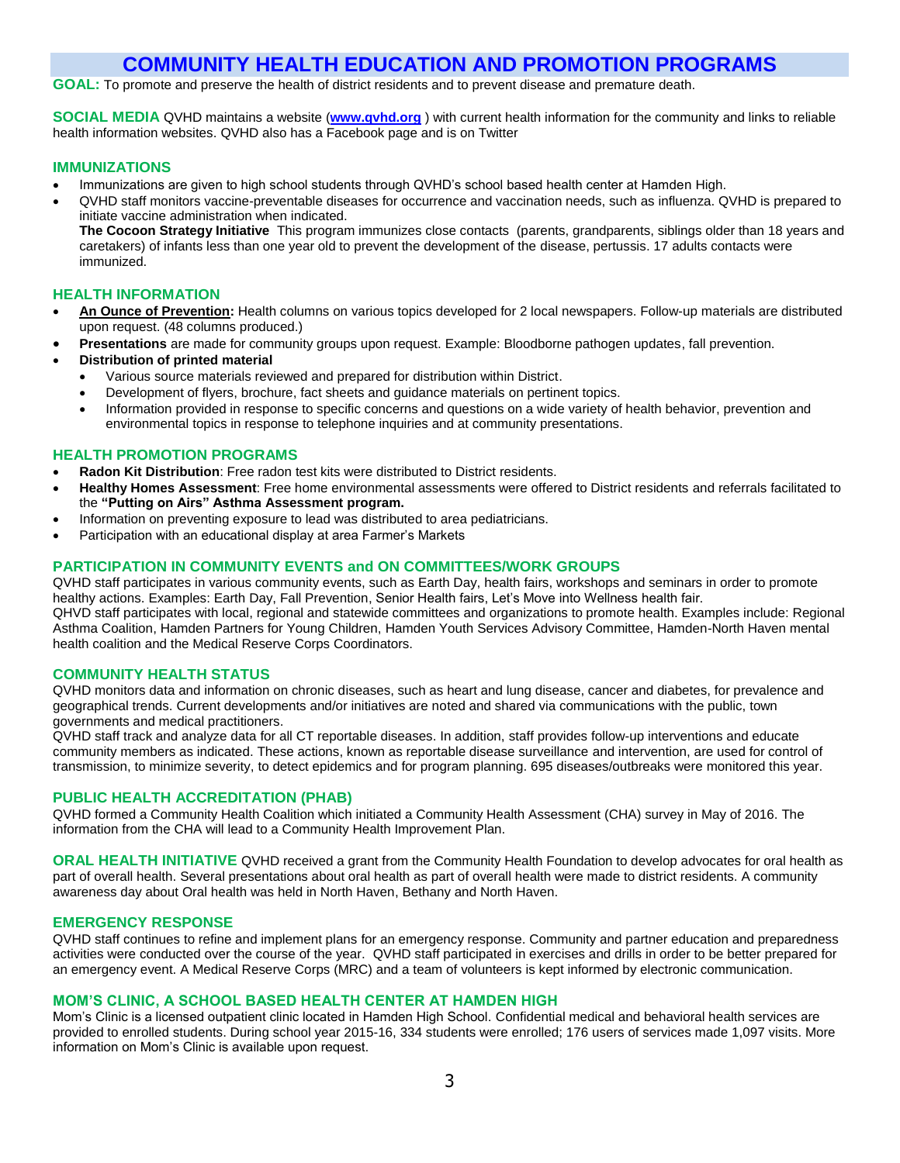## **COMMUNITY HEALTH EDUCATION AND PROMOTION PROGRAMS**

**GOAL:** To promote and preserve the health of district residents and to prevent disease and premature death.

**SOCIAL MEDIA** QVHD maintains a website (**[www.qvhd.org](http://www.qvhd.org/)** ) with current health information for the community and links to reliable health information websites. QVHD also has a Facebook page and is on Twitter

#### **IMMUNIZATIONS**

- Immunizations are given to high school students through QVHD's school based health center at Hamden High.
- QVHD staff monitors vaccine-preventable diseases for occurrence and vaccination needs, such as influenza. QVHD is prepared to initiate vaccine administration when indicated.

**The Cocoon Strategy Initiative** This program immunizes close contacts (parents, grandparents, siblings older than 18 years and caretakers) of infants less than one year old to prevent the development of the disease, pertussis. 17 adults contacts were immunized.

### **HEALTH INFORMATION**

- **An Ounce of Prevention:** Health columns on various topics developed for 2 local newspapers. Follow-up materials are distributed upon request. (48 columns produced.)
- **Presentations** are made for community groups upon request. Example: Bloodborne pathogen updates, fall prevention.

#### **Distribution of printed material**

- Various source materials reviewed and prepared for distribution within District.
- Development of flyers, brochure, fact sheets and guidance materials on pertinent topics.
- Information provided in response to specific concerns and questions on a wide variety of health behavior, prevention and environmental topics in response to telephone inquiries and at community presentations.

### **HEALTH PROMOTION PROGRAMS**

- **Radon Kit Distribution**: Free radon test kits were distributed to District residents.
- **Healthy Homes Assessment**: Free home environmental assessments were offered to District residents and referrals facilitated to the **"Putting on Airs" Asthma Assessment program.**
- Information on preventing exposure to lead was distributed to area pediatricians.
- Participation with an educational display at area Farmer's Markets

### **PARTICIPATION IN COMMUNITY EVENTS and ON COMMITTEES/WORK GROUPS**

QVHD staff participates in various community events, such as Earth Day, health fairs, workshops and seminars in order to promote healthy actions. Examples: Earth Day, Fall Prevention, Senior Health fairs, Let's Move into Wellness health fair. QHVD staff participates with local, regional and statewide committees and organizations to promote health. Examples include: Regional Asthma Coalition, Hamden Partners for Young Children, Hamden Youth Services Advisory Committee, Hamden-North Haven mental health coalition and the Medical Reserve Corps Coordinators.

#### **COMMUNITY HEALTH STATUS**

QVHD monitors data and information on chronic diseases, such as heart and lung disease, cancer and diabetes, for prevalence and geographical trends. Current developments and/or initiatives are noted and shared via communications with the public, town governments and medical practitioners.

QVHD staff track and analyze data for all CT reportable diseases. In addition, staff provides follow-up interventions and educate community members as indicated. These actions, known as reportable disease surveillance and intervention, are used for control of transmission, to minimize severity, to detect epidemics and for program planning. 695 diseases/outbreaks were monitored this year.

#### **PUBLIC HEALTH ACCREDITATION (PHAB)**

QVHD formed a Community Health Coalition which initiated a Community Health Assessment (CHA) survey in May of 2016. The information from the CHA will lead to a Community Health Improvement Plan.

**ORAL HEALTH INITIATIVE** QVHD received a grant from the Community Health Foundation to develop advocates for oral health as part of overall health. Several presentations about oral health as part of overall health were made to district residents. A community awareness day about Oral health was held in North Haven, Bethany and North Haven.

#### **EMERGENCY RESPONSE**

QVHD staff continues to refine and implement plans for an emergency response. Community and partner education and preparedness activities were conducted over the course of the year. QVHD staff participated in exercises and drills in order to be better prepared for an emergency event. A Medical Reserve Corps (MRC) and a team of volunteers is kept informed by electronic communication.

#### **MOM'S CLINIC, A SCHOOL BASED HEALTH CENTER AT HAMDEN HIGH**

Mom's Clinic is a licensed outpatient clinic located in Hamden High School. Confidential medical and behavioral health services are provided to enrolled students. During school year 2015-16, 334 students were enrolled; 176 users of services made 1,097 visits. More information on Mom's Clinic is available upon request.